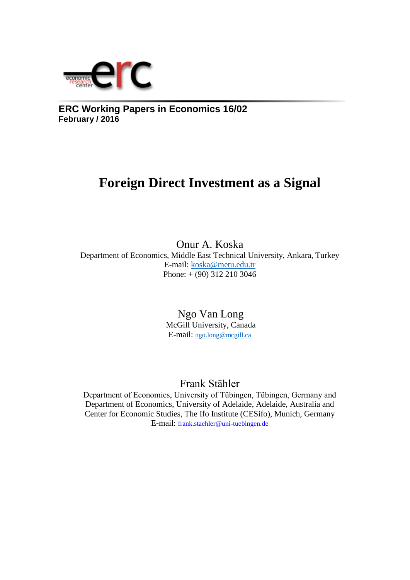

**ERC Working Papers in Economics 16/02 February / 2016**

## **Foreign Direct Investment as a Signal**

Onur A. Koska Department of Economics, Middle East Technical University, Ankara, Turkey E-mail: [koska@metu.edu.tr](mailto:koska@metu.edu.tr)  Phone: + (90) 312 210 3046

> Ngo Van Long McGill University, Canada E-mail: [ngo.long@mcgill.ca](mailto:ngo.long@mcgill.ca)

> > Frank Stähler

Department of Economics, University of Tübingen, Tübingen, Germany and Department of Economics, University of Adelaide, Adelaide, Australia and Center for Economic Studies, The Ifo Institute (CESifo), Munich, Germany E-mail: [frank.staehler@uni-tuebingen.de](mailto:frank.staehler@uni-tuebingen.de)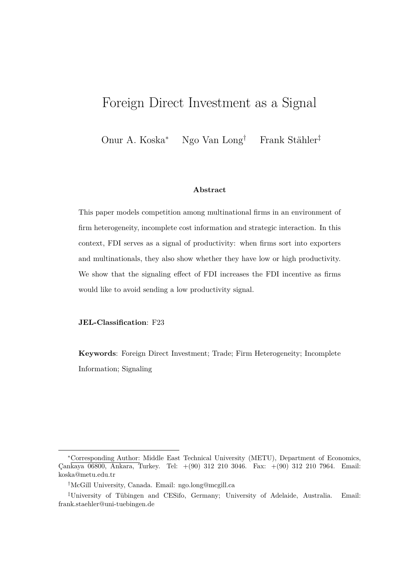## Foreign Direct Investment as a Signal

Onur A. Koska<sup>∗</sup> Ngo Van Long† Frank Stähler‡

#### **Abstract**

This paper models competition among multinational firms in an environment of firm heterogeneity, incomplete cost information and strategic interaction. In this context, FDI serves as a signal of productivity: when firms sort into exporters and multinationals, they also show whether they have low or high productivity. We show that the signaling effect of FDI increases the FDI incentive as firms would like to avoid sending a low productivity signal.

#### **JEL-Classification**: F23

**Keywords**: Foreign Direct Investment; Trade; Firm Heterogeneity; Incomplete Information; Signaling

<sup>∗</sup>Corresponding Author: Middle East Technical University (METU), Department of Economics, Çankaya 06800, Ankara, Turkey. Tel: +(90) 312 210 3046. Fax: +(90) 312 210 7964. Email: koska@metu.edu.tr

<sup>†</sup>McGill University, Canada. Email: ngo.long@mcgill.ca

<sup>‡</sup>University of Tübingen and CESifo, Germany; University of Adelaide, Australia. Email: frank.staehler@uni-tuebingen.de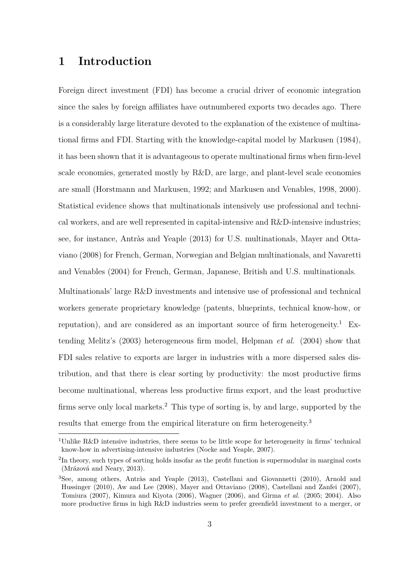### **1 Introduction**

Foreign direct investment (FDI) has become a crucial driver of economic integration since the sales by foreign affiliates have outnumbered exports two decades ago. There is a considerably large literature devoted to the explanation of the existence of multinational firms and FDI. Starting with the knowledge-capital model by Markusen (1984), it has been shown that it is advantageous to operate multinational firms when firm-level scale economies, generated mostly by R&D, are large, and plant-level scale economies are small (Horstmann and Markusen, 1992; and Markusen and Venables, 1998, 2000). Statistical evidence shows that multinationals intensively use professional and technical workers, and are well represented in capital-intensive and R&D-intensive industries; see, for instance, Antràs and Yeaple (2013) for U.S. multinationals, Mayer and Ottaviano (2008) for French, German, Norwegian and Belgian multinationals, and Navaretti and Venables (2004) for French, German, Japanese, British and U.S. multinationals.

Multinationals' large R&D investments and intensive use of professional and technical workers generate proprietary knowledge (patents, blueprints, technical know-how, or reputation), and are considered as an important source of firm heterogeneity.<sup>1</sup> Extending Melitz's (2003) heterogeneous firm model, Helpman *et al.* (2004) show that FDI sales relative to exports are larger in industries with a more dispersed sales distribution, and that there is clear sorting by productivity: the most productive firms become multinational, whereas less productive firms export, and the least productive firms serve only local markets.<sup>2</sup> This type of sorting is, by and large, supported by the results that emerge from the empirical literature on firm heterogeneity.<sup>3</sup>

<sup>&</sup>lt;sup>1</sup>Unlike R&D intensive industries, there seems to be little scope for heterogeneity in firms' technical know-how in advertising-intensive industries (Nocke and Yeaple, 2007).

<sup>&</sup>lt;sup>2</sup>In theory, such types of sorting holds insofar as the profit function is supermodular in marginal costs (Mrázová and Neary, 2013).

<sup>3</sup>See, among others, Antràs and Yeaple (2013), Castellani and Giovannetti (2010), Arnold and Hussinger (2010), Aw and Lee (2008), Mayer and Ottaviano (2008), Castellani and Zanfei (2007), Tomiura (2007), Kimura and Kiyota (2006), Wagner (2006), and Girma *et al.* (2005; 2004). Also more productive firms in high R&D industries seem to prefer greenfield investment to a merger, or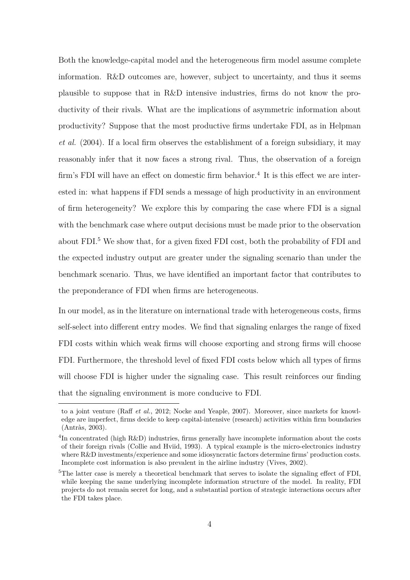Both the knowledge-capital model and the heterogeneous firm model assume complete information. R&D outcomes are, however, subject to uncertainty, and thus it seems plausible to suppose that in R&D intensive industries, firms do not know the productivity of their rivals. What are the implications of asymmetric information about productivity? Suppose that the most productive firms undertake FDI, as in Helpman *et al.* (2004). If a local firm observes the establishment of a foreign subsidiary, it may reasonably infer that it now faces a strong rival. Thus, the observation of a foreign firm's FDI will have an effect on domestic firm behavior.<sup>4</sup> It is this effect we are interested in: what happens if FDI sends a message of high productivity in an environment of firm heterogeneity? We explore this by comparing the case where FDI is a signal with the benchmark case where output decisions must be made prior to the observation about FDI.<sup>5</sup> We show that, for a given fixed FDI cost, both the probability of FDI and the expected industry output are greater under the signaling scenario than under the benchmark scenario. Thus, we have identified an important factor that contributes to the preponderance of FDI when firms are heterogeneous.

In our model, as in the literature on international trade with heterogeneous costs, firms self-select into different entry modes. We find that signaling enlarges the range of fixed FDI costs within which weak firms will choose exporting and strong firms will choose FDI. Furthermore, the threshold level of fixed FDI costs below which all types of firms will choose FDI is higher under the signaling case. This result reinforces our finding that the signaling environment is more conducive to FDI.

to a joint venture (Raff *et al.*, 2012; Nocke and Yeaple, 2007). Moreover, since markets for knowledge are imperfect, firms decide to keep capital-intensive (research) activities within firm boundaries (Antràs, 2003).

<sup>&</sup>lt;sup>4</sup>In concentrated (high R&D) industries, firms generally have incomplete information about the costs of their foreign rivals (Collie and Hviid, 1993). A typical example is the micro-electronics industry where R&D investments/experience and some idiosyncratic factors determine firms' production costs. Incomplete cost information is also prevalent in the airline industry (Vives, 2002).

<sup>&</sup>lt;sup>5</sup>The latter case is merely a theoretical benchmark that serves to isolate the signaling effect of FDI, while keeping the same underlying incomplete information structure of the model. In reality, FDI projects do not remain secret for long, and a substantial portion of strategic interactions occurs after the FDI takes place.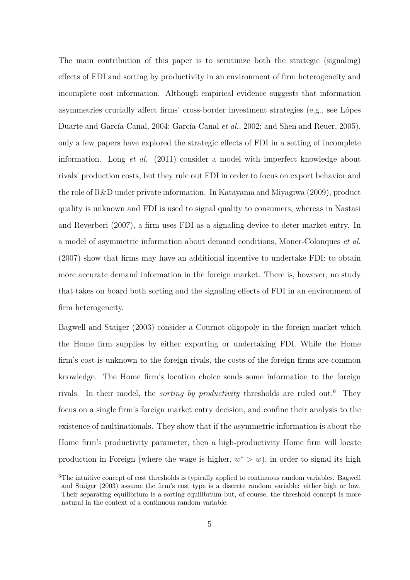The main contribution of this paper is to scrutinize both the strategic (signaling) effects of FDI and sorting by productivity in an environment of firm heterogeneity and incomplete cost information. Although empirical evidence suggests that information asymmetries crucially affect firms' cross-border investment strategies (e.g., see Lópes Duarte and García-Canal, 2004; García-Canal *et al.*, 2002; and Shen and Reuer, 2005), only a few papers have explored the strategic effects of FDI in a setting of incomplete information. Long *et al.* (2011) consider a model with imperfect knowledge about rivals' production costs, but they rule out FDI in order to focus on export behavior and the role of R&D under private information. In Katayama and Miyagiwa (2009), product quality is unknown and FDI is used to signal quality to consumers, whereas in Nastasi and Reverberi (2007), a firm uses FDI as a signaling device to deter market entry. In a model of asymmetric information about demand conditions, Moner-Colonques *et al.* (2007) show that firms may have an additional incentive to undertake FDI: to obtain more accurate demand information in the foreign market. There is, however, no study that takes on board both sorting and the signaling effects of FDI in an environment of firm heterogeneity.

Bagwell and Staiger (2003) consider a Cournot oligopoly in the foreign market which the Home firm supplies by either exporting or undertaking FDI. While the Home firm's cost is unknown to the foreign rivals, the costs of the foreign firms are common knowledge. The Home firm's location choice sends some information to the foreign rivals. In their model, the *sorting by productivity* thresholds are ruled out.<sup>6</sup> They focus on a single firm's foreign market entry decision, and confine their analysis to the existence of multinationals. They show that if the asymmetric information is about the Home firm's productivity parameter, then a high-productivity Home firm will locate production in Foreign (where the wage is higher,  $w^* > w$ ), in order to signal its high

 ${}^{6}$ The intuitive concept of cost thresholds is typically applied to continuous random variables. Bagwell and Staiger (2003) assume the firm's cost type is a discrete random variable: either high or low. Their separating equilibrium is a sorting equilibrium but, of course, the threshold concept is more natural in the context of a continuous random variable.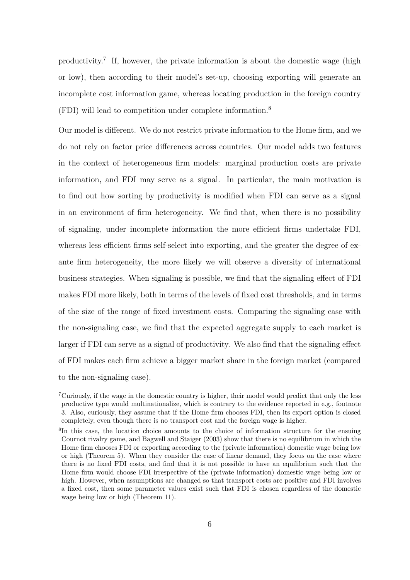productivity.<sup>7</sup> If, however, the private information is about the domestic wage (high or low), then according to their model's set-up, choosing exporting will generate an incomplete cost information game, whereas locating production in the foreign country (FDI) will lead to competition under complete information.<sup>8</sup>

Our model is different. We do not restrict private information to the Home firm, and we do not rely on factor price differences across countries. Our model adds two features in the context of heterogeneous firm models: marginal production costs are private information, and FDI may serve as a signal. In particular, the main motivation is to find out how sorting by productivity is modified when FDI can serve as a signal in an environment of firm heterogeneity. We find that, when there is no possibility of signaling, under incomplete information the more efficient firms undertake FDI, whereas less efficient firms self-select into exporting, and the greater the degree of exante firm heterogeneity, the more likely we will observe a diversity of international business strategies. When signaling is possible, we find that the signaling effect of FDI makes FDI more likely, both in terms of the levels of fixed cost thresholds, and in terms of the size of the range of fixed investment costs. Comparing the signaling case with the non-signaling case, we find that the expected aggregate supply to each market is larger if FDI can serve as a signal of productivity. We also find that the signaling effect of FDI makes each firm achieve a bigger market share in the foreign market (compared to the non-signaling case).

<sup>7</sup>Curiously, if the wage in the domestic country is higher, their model would predict that only the less productive type would multinationalize, which is contrary to the evidence reported in e.g., footnote 3. Also, curiously, they assume that if the Home firm chooses FDI, then its export option is closed completely, even though there is no transport cost and the foreign wage is higher.

<sup>&</sup>lt;sup>8</sup>In this case, the location choice amounts to the choice of information structure for the ensuing Cournot rivalry game, and Bagwell and Staiger (2003) show that there is no equilibrium in which the Home firm chooses FDI or exporting according to the (private information) domestic wage being low or high (Theorem 5). When they consider the case of linear demand, they focus on the case where there is no fixed FDI costs, and find that it is not possible to have an equilibrium such that the Home firm would choose FDI irrespective of the (private information) domestic wage being low or high. However, when assumptions are changed so that transport costs are positive and FDI involves a fixed cost, then some parameter values exist such that FDI is chosen regardless of the domestic wage being low or high (Theorem 11).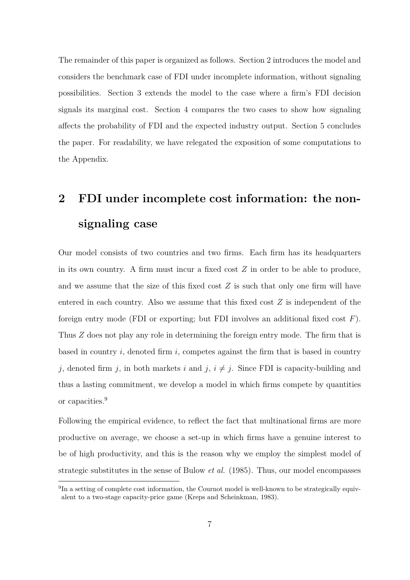The remainder of this paper is organized as follows. Section 2 introduces the model and considers the benchmark case of FDI under incomplete information, without signaling possibilities. Section 3 extends the model to the case where a firm's FDI decision signals its marginal cost. Section 4 compares the two cases to show how signaling affects the probability of FDI and the expected industry output. Section 5 concludes the paper. For readability, we have relegated the exposition of some computations to the Appendix.

# **2 FDI under incomplete cost information: the nonsignaling case**

Our model consists of two countries and two firms. Each firm has its headquarters in its own country. A firm must incur a fixed cost *Z* in order to be able to produce, and we assume that the size of this fixed cost *Z* is such that only one firm will have entered in each country. Also we assume that this fixed cost *Z* is independent of the foreign entry mode (FDI or exporting; but FDI involves an additional fixed cost *F*). Thus *Z* does not play any role in determining the foreign entry mode. The firm that is based in country *i*, denoted firm *i*, competes against the firm that is based in country *j*, denoted firm *j*, in both markets *i* and *j*,  $i \neq j$ . Since FDI is capacity-building and thus a lasting commitment, we develop a model in which firms compete by quantities or capacities.<sup>9</sup>

Following the empirical evidence, to reflect the fact that multinational firms are more productive on average, we choose a set-up in which firms have a genuine interest to be of high productivity, and this is the reason why we employ the simplest model of strategic substitutes in the sense of Bulow *et al.* (1985). Thus, our model encompasses

<sup>&</sup>lt;sup>9</sup>In a setting of complete cost information, the Cournot model is well-known to be strategically equivalent to a two-stage capacity-price game (Kreps and Scheinkman, 1983).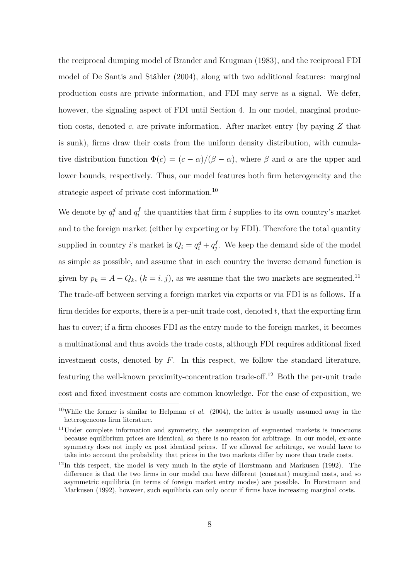the reciprocal dumping model of Brander and Krugman (1983), and the reciprocal FDI model of De Santis and Stähler (2004), along with two additional features: marginal production costs are private information, and FDI may serve as a signal. We defer, however, the signaling aspect of FDI until Section 4. In our model, marginal production costs, denoted *c*, are private information. After market entry (by paying *Z* that is sunk), firms draw their costs from the uniform density distribution, with cumulative distribution function  $\Phi(c) = (c - \alpha)/(\beta - \alpha)$ , where  $\beta$  and  $\alpha$  are the upper and lower bounds, respectively. Thus, our model features both firm heterogeneity and the strategic aspect of private cost information.<sup>10</sup>

We denote by  $q_i^d$  and  $q_i^f$  $i_i^f$  the quantities that firm *i* supplies to its own country's market and to the foreign market (either by exporting or by FDI). Therefore the total quantity supplied in country *i*'s market is  $Q_i = q_i^d + q_j^f$  $j<sup>J</sup>$ . We keep the demand side of the model as simple as possible, and assume that in each country the inverse demand function is given by  $p_k = A - Q_k$ ,  $(k = i, j)$ , as we assume that the two markets are segmented.<sup>11</sup> The trade-off between serving a foreign market via exports or via FDI is as follows. If a firm decides for exports, there is a per-unit trade cost, denoted *t*, that the exporting firm has to cover; if a firm chooses FDI as the entry mode to the foreign market, it becomes a multinational and thus avoids the trade costs, although FDI requires additional fixed investment costs, denoted by *F*. In this respect, we follow the standard literature, featuring the well-known proximity-concentration trade-off.<sup>12</sup> Both the per-unit trade cost and fixed investment costs are common knowledge. For the ease of exposition, we

<sup>10</sup>While the former is similar to Helpman *et al.* (2004), the latter is usually assumed away in the heterogeneous firm literature.

<sup>&</sup>lt;sup>11</sup>Under complete information and symmetry, the assumption of segmented markets is innocuous because equilibrium prices are identical, so there is no reason for arbitrage. In our model, ex-ante symmetry does not imply ex post identical prices. If we allowed for arbitrage, we would have to take into account the probability that prices in the two markets differ by more than trade costs.

 $12$ In this respect, the model is very much in the style of Horstmann and Markusen (1992). The difference is that the two firms in our model can have different (constant) marginal costs, and so asymmetric equilibria (in terms of foreign market entry modes) are possible. In Horstmann and Markusen (1992), however, such equilibria can only occur if firms have increasing marginal costs.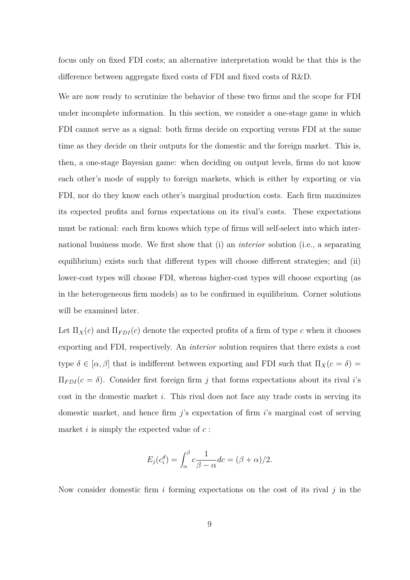focus only on fixed FDI costs; an alternative interpretation would be that this is the difference between aggregate fixed costs of FDI and fixed costs of R&D.

We are now ready to scrutinize the behavior of these two firms and the scope for FDI under incomplete information. In this section, we consider a one-stage game in which FDI cannot serve as a signal: both firms decide on exporting versus FDI at the same time as they decide on their outputs for the domestic and the foreign market. This is, then, a one-stage Bayesian game: when deciding on output levels, firms do not know each other's mode of supply to foreign markets, which is either by exporting or via FDI, nor do they know each other's marginal production costs. Each firm maximizes its expected profits and forms expectations on its rival's costs. These expectations must be rational: each firm knows which type of firms will self-select into which international business mode. We first show that (i) an *interior* solution (i.e., a separating equilibrium) exists such that different types will choose different strategies; and (ii) lower-cost types will choose FDI, whereas higher-cost types will choose exporting (as in the heterogeneous firm models) as to be confirmed in equilibrium. Corner solutions will be examined later.

Let  $\Pi_X(c)$  and  $\Pi_{FDI}(c)$  denote the expected profits of a firm of type *c* when it chooses exporting and FDI, respectively. An *interior* solution requires that there exists a cost type  $\delta \in [\alpha, \beta]$  that is indifferent between exporting and FDI such that  $\Pi_X(c = \delta)$  $\Pi_{FDI}(c = \delta)$ . Consider first foreign firm *j* that forms expectations about its rival *i*'s cost in the domestic market *i*. This rival does not face any trade costs in serving its domestic market, and hence firm *j*'s expectation of firm *i*'s marginal cost of serving market *i* is simply the expected value of *c* :

$$
E_j(c_i^d) = \int_{\alpha}^{\beta} c \frac{1}{\beta - \alpha} dc = (\beta + \alpha)/2.
$$

Now consider domestic firm *i* forming expectations on the cost of its rival *j* in the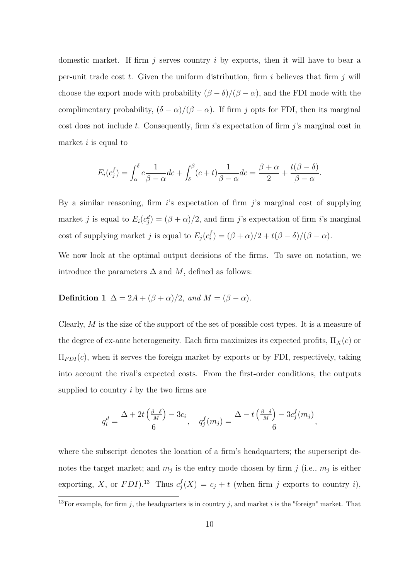domestic market. If firm *j* serves country *i* by exports, then it will have to bear a per-unit trade cost *t*. Given the uniform distribution, firm *i* believes that firm *j* will choose the export mode with probability  $(\beta - \delta)/(\beta - \alpha)$ , and the FDI mode with the complimentary probability,  $(\delta - \alpha)/(\beta - \alpha)$ . If firm *j* opts for FDI, then its marginal cost does not include *t*. Consequently, firm *i*'s expectation of firm *j*'s marginal cost in market *i* is equal to

$$
E_i(c_j^f) = \int_{\alpha}^{\delta} c \frac{1}{\beta - \alpha} dc + \int_{\delta}^{\beta} (c + t) \frac{1}{\beta - \alpha} dc = \frac{\beta + \alpha}{2} + \frac{t(\beta - \delta)}{\beta - \alpha}.
$$

By a similar reasoning, firm *i*'s expectation of firm *j*'s marginal cost of supplying market *j* is equal to  $E_i(c_j^d) = (\beta + \alpha)/2$ , and firm *j*'s expectation of firm *i*'s marginal cost of supplying market *j* is equal to  $E_j(c_i^f)$  $f_i^f$ ) = ( $\beta + \alpha$ )/2 + *t*( $\beta - \delta$ )/( $\beta - \alpha$ ).

We now look at the optimal output decisions of the firms. To save on notation, we introduce the parameters  $\Delta$  and M, defined as follows:

## **Definition 1**  $\Delta = 2A + (\beta + \alpha)/2$ *, and*  $M = (\beta - \alpha)$ *.*

Clearly, *M* is the size of the support of the set of possible cost types. It is a measure of the degree of ex-ante heterogeneity. Each firm maximizes its expected profits,  $\Pi_X(c)$  or  $\Pi_{FDI}(c)$ , when it serves the foreign market by exports or by FDI, respectively, taking into account the rival's expected costs. From the first-order conditions, the outputs supplied to country *i* by the two firms are

$$
q_i^d = \frac{\Delta + 2t\left(\frac{\beta - \delta}{M}\right) - 3c_i}{6}, \quad q_j^f(m_j) = \frac{\Delta - t\left(\frac{\beta - \delta}{M}\right) - 3c_j^f(m_j)}{6},
$$

where the subscript denotes the location of a firm's headquarters; the superscript denotes the target market; and  $m_j$  is the entry mode chosen by firm  $j$  (i.e.,  $m_j$  is either exporting, *X*, or  $FDI$ ).<sup>13</sup> Thus  $c_j^f$  $j_j(X) = c_j + t$  (when firm *j* exports to country *i*),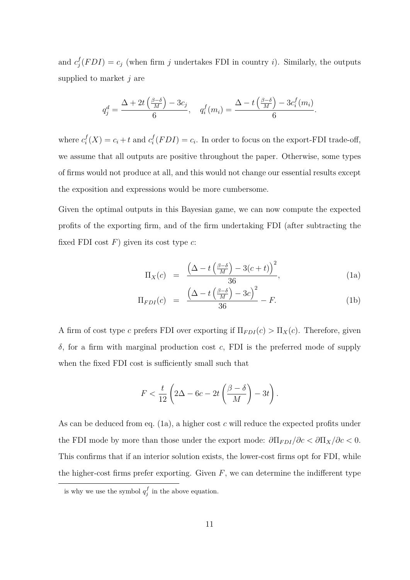and  $c_i^f$  $j_f(FDI) = c_j$  (when firm *j* undertakes FDI in country *i*). Similarly, the outputs supplied to market *j* are

$$
q_j^d = \frac{\Delta + 2t\left(\frac{\beta - \delta}{M}\right) - 3c_j}{6}, \quad q_i^f(m_i) = \frac{\Delta - t\left(\frac{\beta - \delta}{M}\right) - 3c_i^f(m_i)}{6}.
$$

where  $c_i^f$  $f_i(X) = c_i + t$  and  $c_i^f$  $J_i^J(FDI) = c_i$ . In order to focus on the export-FDI trade-off, we assume that all outputs are positive throughout the paper. Otherwise, some types of firms would not produce at all, and this would not change our essential results except the exposition and expressions would be more cumbersome.

Given the optimal outputs in this Bayesian game, we can now compute the expected profits of the exporting firm, and of the firm undertaking FDI (after subtracting the fixed FDI cost *F*) given its cost type *c*:

$$
\Pi_X(c) = \frac{\left(\Delta - t\left(\frac{\beta - \delta}{M}\right) - 3(c + t)\right)^2}{36},\tag{1a}
$$

$$
\Pi_{FDI}(c) = \frac{\left(\Delta - t\left(\frac{\beta - \delta}{M}\right) - 3c\right)^2}{36} - F.
$$
\n(1b)

A firm of cost type *c* prefers FDI over exporting if  $\Pi_{FDI}(c) > \Pi_X(c)$ . Therefore, given *δ*, for a firm with marginal production cost *c*, FDI is the preferred mode of supply when the fixed FDI cost is sufficiently small such that

$$
F < \frac{t}{12} \left( 2\Delta - 6c - 2t \left( \frac{\beta - \delta}{M} \right) - 3t \right).
$$

As can be deduced from eq. (1a), a higher cost *c* will reduce the expected profits under the FDI mode by more than those under the export mode:  $\partial \Pi_{FDI}/\partial c < \partial \Pi_X/\partial c < 0$ . This confirms that if an interior solution exists, the lower-cost firms opt for FDI, while the higher-cost firms prefer exporting. Given  $F$ , we can determine the indifferent type

is why we use the symbol  $q_j^f$  in the above equation.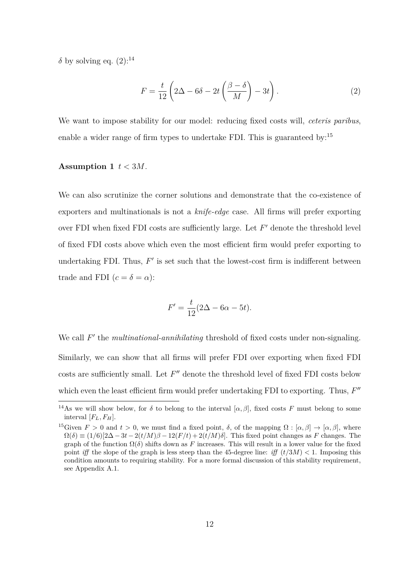$δ$  by solving eq.  $(2):^{14}$ 

$$
F = \frac{t}{12} \left( 2\Delta - 6\delta - 2t \left( \frac{\beta - \delta}{M} \right) - 3t \right).
$$
 (2)

We want to impose stability for our model: reducing fixed costs will, *ceteris paribus*, enable a wider range of firm types to undertake FDI. This is guaranteed by:<sup>15</sup>

#### Assumption 1  $t < 3M$ .

We can also scrutinize the corner solutions and demonstrate that the co-existence of exporters and multinationals is not a *knife-edge* case. All firms will prefer exporting over FDI when fixed FDI costs are sufficiently large. Let  $F'$  denote the threshold level of fixed FDI costs above which even the most efficient firm would prefer exporting to undertaking FDI. Thus,  $F'$  is set such that the lowest-cost firm is indifferent between trade and FDI  $(c = \delta = \alpha)$ :

$$
F' = \frac{t}{12}(2\Delta - 6\alpha - 5t).
$$

We call  $F'$  the *multinational-annihilating* threshold of fixed costs under non-signaling. Similarly, we can show that all firms will prefer FDI over exporting when fixed FDI costs are sufficiently small. Let  $F''$  denote the threshold level of fixed FDI costs below which even the least efficient firm would prefer undertaking FDI to exporting. Thus,  $F''$ 

<sup>&</sup>lt;sup>14</sup>As we will show below, for  $\delta$  to belong to the interval  $[\alpha, \beta]$ , fixed costs *F* must belong to some interval  $[F_L, F_H]$ .

<sup>&</sup>lt;sup>15</sup>Given  $F > 0$  and  $t > 0$ , we must find a fixed point,  $\delta$ , of the mapping  $\Omega : [\alpha, \beta] \to [\alpha, \beta]$ , where  $\Omega(\delta) \equiv (1/6)[2\Delta - 3t - 2(t/M)\beta - 12(F/t) + 2(t/M)\delta]$ . This fixed point changes as *F* changes. The graph of the function  $\Omega(\delta)$  shifts down as F increases. This will result in a lower value for the fixed point *iff* the slope of the graph is less steep than the 45-degree line: *iff*  $(t/3M) < 1$ . Imposing this condition amounts to requiring stability. For a more formal discussion of this stability requirement, see Appendix A.1.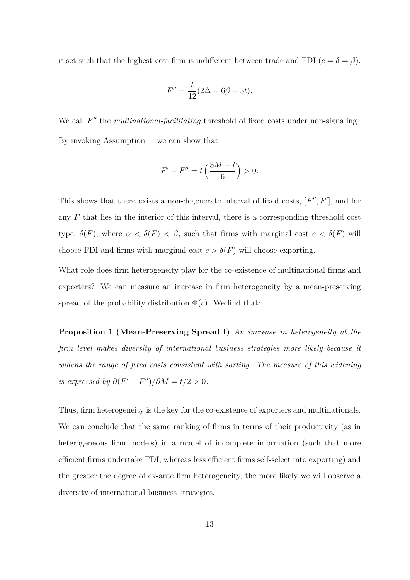is set such that the highest-cost firm is indifferent between trade and FDI  $(c = \delta = \beta)$ :

$$
F'' = \frac{t}{12}(2\Delta - 6\beta - 3t).
$$

We call  $F''$  the *multinational-facilitating* threshold of fixed costs under non-signaling. By invoking Assumption 1, we can show that

$$
F' - F'' = t\left(\frac{3M - t}{6}\right) > 0.
$$

This shows that there exists a non-degenerate interval of fixed costs,  $[F'', F']$ , and for any *F* that lies in the interior of this interval, there is a corresponding threshold cost type,  $\delta(F)$ , where  $\alpha < \delta(F) < \beta$ , such that firms with marginal cost  $c < \delta(F)$  will choose FDI and firms with marginal cost  $c > \delta(F)$  will choose exporting.

What role does firm heterogeneity play for the co-existence of multinational firms and exporters? We can measure an increase in firm heterogeneity by a mean-preserving spread of the probability distribution  $\Phi(c)$ . We find that:

**Proposition 1 (Mean-Preserving Spread I)** *An increase in heterogeneity at the firm level makes diversity of international business strategies more likely because it widens the range of fixed costs consistent with sorting. The measure of this widening is expressed by*  $\partial (F' - F'') / \partial M = t/2 > 0$ *.* 

Thus, firm heterogeneity is the key for the co-existence of exporters and multinationals. We can conclude that the same ranking of firms in terms of their productivity (as in heterogeneous firm models) in a model of incomplete information (such that more efficient firms undertake FDI, whereas less efficient firms self-select into exporting) and the greater the degree of ex-ante firm heterogeneity, the more likely we will observe a diversity of international business strategies.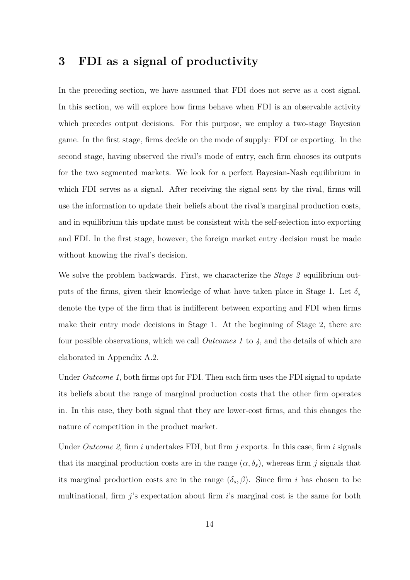## **3 FDI as a signal of productivity**

In the preceding section, we have assumed that FDI does not serve as a cost signal. In this section, we will explore how firms behave when FDI is an observable activity which precedes output decisions. For this purpose, we employ a two-stage Bayesian game. In the first stage, firms decide on the mode of supply: FDI or exporting. In the second stage, having observed the rival's mode of entry, each firm chooses its outputs for the two segmented markets. We look for a perfect Bayesian-Nash equilibrium in which FDI serves as a signal. After receiving the signal sent by the rival, firms will use the information to update their beliefs about the rival's marginal production costs, and in equilibrium this update must be consistent with the self-selection into exporting and FDI. In the first stage, however, the foreign market entry decision must be made without knowing the rival's decision.

We solve the problem backwards. First, we characterize the *Stage 2* equilibrium outputs of the firms, given their knowledge of what have taken place in Stage 1. Let *δ<sup>s</sup>* denote the type of the firm that is indifferent between exporting and FDI when firms make their entry mode decisions in Stage 1. At the beginning of Stage 2, there are four possible observations, which we call *Outcomes 1* to *4*, and the details of which are elaborated in Appendix A.2.

Under *Outcome 1*, both firms opt for FDI. Then each firm uses the FDI signal to update its beliefs about the range of marginal production costs that the other firm operates in. In this case, they both signal that they are lower-cost firms, and this changes the nature of competition in the product market.

Under *Outcome 2*, firm *i* undertakes FDI, but firm *j* exports. In this case, firm *i* signals that its marginal production costs are in the range  $(\alpha, \delta_s)$ , whereas firm *j* signals that its marginal production costs are in the range  $(\delta_s, \beta)$ . Since firm *i* has chosen to be multinational, firm *j*'s expectation about firm *i*'s marginal cost is the same for both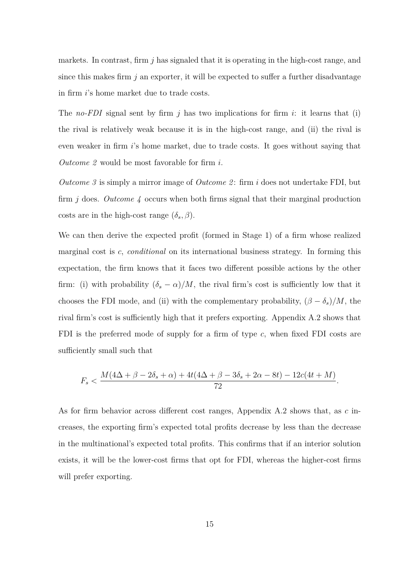markets. In contrast, firm *j* has signaled that it is operating in the high-cost range, and since this makes firm *j* an exporter, it will be expected to suffer a further disadvantage in firm *i*'s home market due to trade costs.

The *no-FDI* signal sent by firm *j* has two implications for firm *i*: it learns that (i) the rival is relatively weak because it is in the high-cost range, and (ii) the rival is even weaker in firm *i*'s home market, due to trade costs. It goes without saying that *Outcome 2* would be most favorable for firm *i*.

*Outcome 3* is simply a mirror image of *Outcome 2* : firm *i* does not undertake FDI, but firm *j* does. *Outcome 4* occurs when both firms signal that their marginal production costs are in the high-cost range  $(\delta_s, \beta)$ .

We can then derive the expected profit (formed in Stage 1) of a firm whose realized marginal cost is *c*, *conditional* on its international business strategy. In forming this expectation, the firm knows that it faces two different possible actions by the other firm: (i) with probability  $(\delta_s - \alpha)/M$ , the rival firm's cost is sufficiently low that it chooses the FDI mode, and (ii) with the complementary probability,  $(\beta - \delta_s)/M$ , the rival firm's cost is sufficiently high that it prefers exporting. Appendix A.2 shows that FDI is the preferred mode of supply for a firm of type *c*, when fixed FDI costs are sufficiently small such that

$$
F_s < \frac{M(4\Delta + \beta - 2\delta_s + \alpha) + 4t(4\Delta + \beta - 3\delta_s + 2\alpha - 8t) - 12c(4t + M)}{72}.
$$

As for firm behavior across different cost ranges, Appendix A.2 shows that, as *c* increases, the exporting firm's expected total profits decrease by less than the decrease in the multinational's expected total profits. This confirms that if an interior solution exists, it will be the lower-cost firms that opt for FDI, whereas the higher-cost firms will prefer exporting.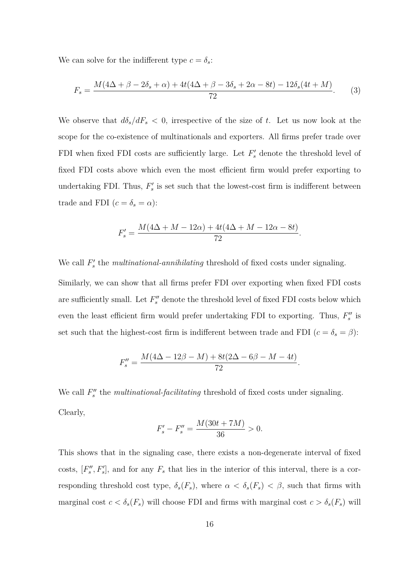We can solve for the indifferent type  $c = \delta_s$ :

$$
F_s = \frac{M(4\Delta + \beta - 2\delta_s + \alpha) + 4t(4\Delta + \beta - 3\delta_s + 2\alpha - 8t) - 12\delta_s(4t + M)}{72}.
$$
 (3)

We observe that  $d\delta_s/dF_s < 0$ , irrespective of the size of t. Let us now look at the scope for the co-existence of multinationals and exporters. All firms prefer trade over FDI when fixed FDI costs are sufficiently large. Let  $F'_{s}$  denote the threshold level of fixed FDI costs above which even the most efficient firm would prefer exporting to undertaking FDI. Thus,  $F'_s$  is set such that the lowest-cost firm is indifferent between trade and FDI  $(c = \delta_s = \alpha)$ :

$$
F'_{s} = \frac{M(4\Delta + M - 12\alpha) + 4t(4\Delta + M - 12\alpha - 8t)}{72}.
$$

We call  $F'_{s}$  the *multinational-annihilating* threshold of fixed costs under signaling.

Similarly, we can show that all firms prefer FDI over exporting when fixed FDI costs are sufficiently small. Let  $F''_s$  denote the threshold level of fixed FDI costs below which even the least efficient firm would prefer undertaking FDI to exporting. Thus,  $F''_s$  is set such that the highest-cost firm is indifferent between trade and FDI  $(c = \delta_s = \beta)$ :

$$
F_s'' = \frac{M(4\Delta - 12\beta - M) + 8t(2\Delta - 6\beta - M - 4t)}{72}.
$$

We call  $F''_s$  the *multinational-facilitating* threshold of fixed costs under signaling. Clearly,

$$
F'_{s} - F''_{s} = \frac{M(30t + 7M)}{36} > 0.
$$

This shows that in the signaling case, there exists a non-degenerate interval of fixed costs,  $[F''_s, F'_s]$ , and for any  $F_s$  that lies in the interior of this interval, there is a corresponding threshold cost type,  $\delta_s(F_s)$ , where  $\alpha < \delta_s(F_s) < \beta$ , such that firms with marginal cost  $c < \delta_s(F_s)$  will choose FDI and firms with marginal cost  $c > \delta_s(F_s)$  will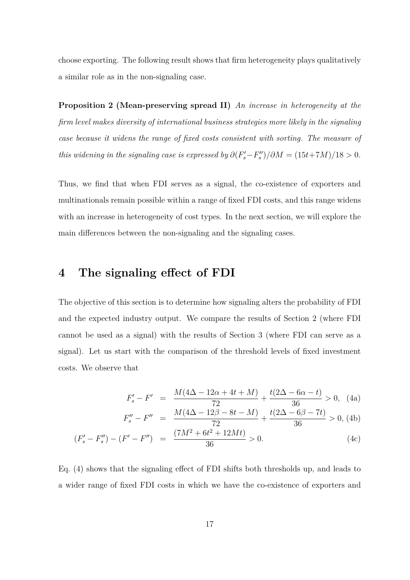choose exporting. The following result shows that firm heterogeneity plays qualitatively a similar role as in the non-signaling case.

**Proposition 2 (Mean-preserving spread II)** *An increase in heterogeneity at the firm level makes diversity of international business strategies more likely in the signaling case because it widens the range of fixed costs consistent with sorting. The measure of this widening in the signaling case is expressed by*  $\partial (F_s' - F_s'') / \partial M = (15t + 7M)/18 > 0$ .

Thus, we find that when FDI serves as a signal, the co-existence of exporters and multinationals remain possible within a range of fixed FDI costs, and this range widens with an increase in heterogeneity of cost types. In the next section, we will explore the main differences between the non-signaling and the signaling cases.

#### **4 The signaling effect of FDI**

The objective of this section is to determine how signaling alters the probability of FDI and the expected industry output. We compare the results of Section 2 (where FDI cannot be used as a signal) with the results of Section 3 (where FDI can serve as a signal). Let us start with the comparison of the threshold levels of fixed investment costs. We observe that

$$
F_s' - F' = \frac{M(4\Delta - 12\alpha + 4t + M)}{72} + \frac{t(2\Delta - 6\alpha - t)}{36} > 0, \quad (4a)
$$

$$
F_s'' - F'' = \frac{M(4\Delta - 12\beta - 8t - M)}{72} + \frac{t(2\Delta - 6\beta - 7t)}{36} > 0, \text{ (4b)}
$$

$$
(F'_s - F''_s) - (F' - F'') = \frac{(7M^2 + 6t^2 + 12Mt)}{36} > 0.
$$
 (4c)

Eq. (4) shows that the signaling effect of FDI shifts both thresholds up, and leads to a wider range of fixed FDI costs in which we have the co-existence of exporters and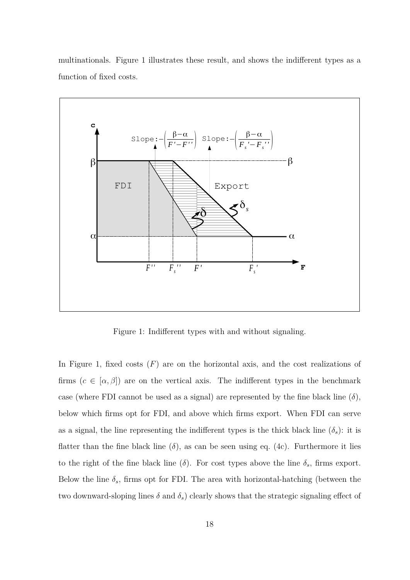multinationals. Figure 1 illustrates these result, and shows the indifferent types as a function of fixed costs.



Figure 1: Indifferent types with and without signaling.

In Figure 1, fixed costs  $(F)$  are on the horizontal axis, and the cost realizations of firms  $(c \in [\alpha, \beta])$  are on the vertical axis. The indifferent types in the benchmark case (where FDI cannot be used as a signal) are represented by the fine black line  $(\delta)$ , below which firms opt for FDI, and above which firms export. When FDI can serve as a signal, the line representing the indifferent types is the thick black line  $(\delta_s)$ : it is flatter than the fine black line  $(\delta)$ , as can be seen using eq. (4c). Furthermore it lies to the right of the fine black line  $(\delta)$ . For cost types above the line  $\delta_s$ , firms export. Below the line  $\delta_s$ , firms opt for FDI. The area with horizontal-hatching (between the two downward-sloping lines  $\delta$  and  $\delta$ <sup>*s*</sup>) clearly shows that the strategic signaling effect of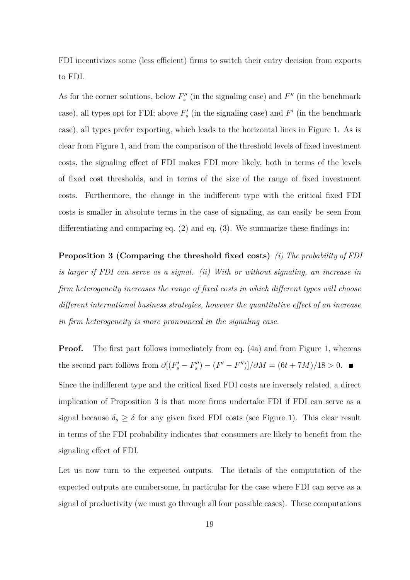FDI incentivizes some (less efficient) firms to switch their entry decision from exports to FDI.

As for the corner solutions, below  $F''_s$  (in the signaling case) and  $F''$  (in the benchmark case), all types opt for FDI; above  $F'_{s}$  (in the signaling case) and  $F'$  (in the benchmark case), all types prefer exporting, which leads to the horizontal lines in Figure 1. As is clear from Figure 1, and from the comparison of the threshold levels of fixed investment costs, the signaling effect of FDI makes FDI more likely, both in terms of the levels of fixed cost thresholds, and in terms of the size of the range of fixed investment costs. Furthermore, the change in the indifferent type with the critical fixed FDI costs is smaller in absolute terms in the case of signaling, as can easily be seen from differentiating and comparing eq. (2) and eq. (3). We summarize these findings in:

**Proposition 3 (Comparing the threshold fixed costs)** *(i) The probability of FDI is larger if FDI can serve as a signal. (ii) With or without signaling, an increase in firm heterogeneity increases the range of fixed costs in which different types will choose different international business strategies, however the quantitative effect of an increase in firm heterogeneity is more pronounced in the signaling case.*

**Proof.** The first part follows immediately from eq. (4a) and from Figure 1, whereas the second part follows from  $\partial [(F'_s - F''_s) - (F' - F'')] / \partial M = (6t + 7M) / 18 > 0.$ 

Since the indifferent type and the critical fixed FDI costs are inversely related, a direct implication of Proposition 3 is that more firms undertake FDI if FDI can serve as a signal because  $\delta_s \geq \delta$  for any given fixed FDI costs (see Figure 1). This clear result in terms of the FDI probability indicates that consumers are likely to benefit from the signaling effect of FDI.

Let us now turn to the expected outputs. The details of the computation of the expected outputs are cumbersome, in particular for the case where FDI can serve as a signal of productivity (we must go through all four possible cases). These computations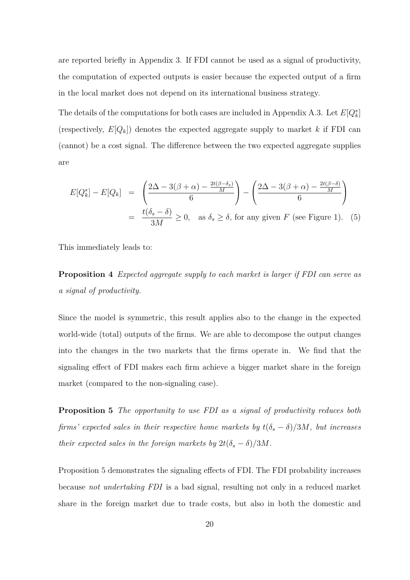are reported briefly in Appendix 3. If FDI cannot be used as a signal of productivity, the computation of expected outputs is easier because the expected output of a firm in the local market does not depend on its international business strategy.

The details of the computations for both cases are included in Appendix A.3. Let  $E[Q_k^s]$ (respectively,  $E[Q_k]$ ) denotes the expected aggregate supply to market k if FDI can (cannot) be a cost signal. The difference between the two expected aggregate supplies are

$$
E[Q_k^s] - E[Q_k] = \left(\frac{2\Delta - 3(\beta + \alpha) - \frac{2t(\beta - \delta_s)}{M}}{6}\right) - \left(\frac{2\Delta - 3(\beta + \alpha) - \frac{2t(\beta - \delta)}{M}}{6}\right)
$$
  
=  $\frac{t(\delta_s - \delta)}{3M} \ge 0$ , as  $\delta_s \ge \delta$ , for any given *F* (see Figure 1). (5)

This immediately leads to:

**Proposition 4** *Expected aggregate supply to each market is larger if FDI can serve as a signal of productivity.*

Since the model is symmetric, this result applies also to the change in the expected world-wide (total) outputs of the firms. We are able to decompose the output changes into the changes in the two markets that the firms operate in. We find that the signaling effect of FDI makes each firm achieve a bigger market share in the foreign market (compared to the non-signaling case).

**Proposition 5** *The opportunity to use FDI as a signal of productivity reduces both firms'* expected sales in their respective home markets by  $t(\delta_s - \delta)/3M$ , but increases *their expected sales in the foreign markets by*  $2t(\delta_s - \delta)/3M$ *.* 

Proposition 5 demonstrates the signaling effects of FDI. The FDI probability increases because *not undertaking FDI* is a bad signal, resulting not only in a reduced market share in the foreign market due to trade costs, but also in both the domestic and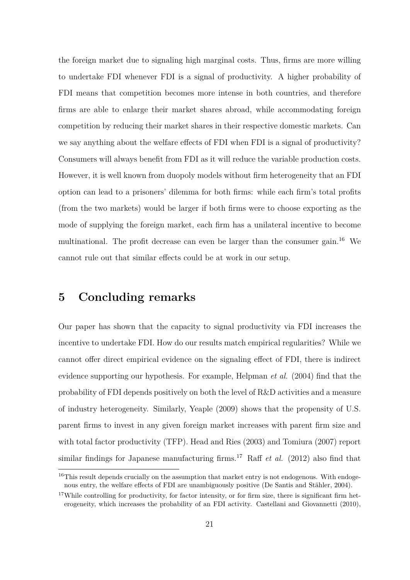the foreign market due to signaling high marginal costs. Thus, firms are more willing to undertake FDI whenever FDI is a signal of productivity. A higher probability of FDI means that competition becomes more intense in both countries, and therefore firms are able to enlarge their market shares abroad, while accommodating foreign competition by reducing their market shares in their respective domestic markets. Can we say anything about the welfare effects of FDI when FDI is a signal of productivity? Consumers will always benefit from FDI as it will reduce the variable production costs. However, it is well known from duopoly models without firm heterogeneity that an FDI option can lead to a prisoners' dilemma for both firms: while each firm's total profits (from the two markets) would be larger if both firms were to choose exporting as the mode of supplying the foreign market, each firm has a unilateral incentive to become multinational. The profit decrease can even be larger than the consumer gain.<sup>16</sup> We cannot rule out that similar effects could be at work in our setup.

### **5 Concluding remarks**

Our paper has shown that the capacity to signal productivity via FDI increases the incentive to undertake FDI. How do our results match empirical regularities? While we cannot offer direct empirical evidence on the signaling effect of FDI, there is indirect evidence supporting our hypothesis. For example, Helpman *et al.* (2004) find that the probability of FDI depends positively on both the level of R&D activities and a measure of industry heterogeneity. Similarly, Yeaple (2009) shows that the propensity of U.S. parent firms to invest in any given foreign market increases with parent firm size and with total factor productivity (TFP). Head and Ries (2003) and Tomiura (2007) report similar findings for Japanese manufacturing firms.<sup>17</sup> Raff *et al.* (2012) also find that

<sup>&</sup>lt;sup>16</sup>This result depends crucially on the assumption that market entry is not endogenous. With endogenous entry, the welfare effects of FDI are unambiguously positive (De Santis and Stähler, 2004).

<sup>&</sup>lt;sup>17</sup>While controlling for productivity, for factor intensity, or for firm size, there is significant firm heterogeneity, which increases the probability of an FDI activity. Castellani and Giovannetti (2010),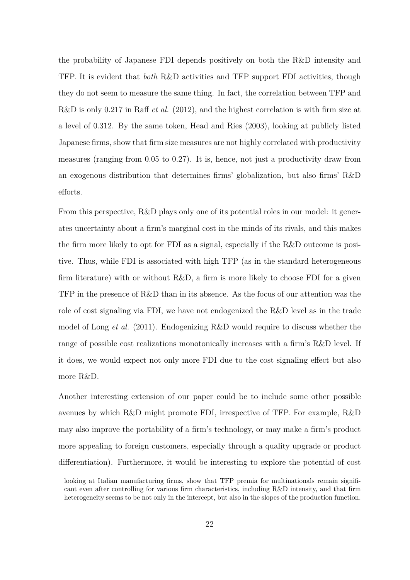the probability of Japanese FDI depends positively on both the R&D intensity and TFP. It is evident that *both* R&D activities and TFP support FDI activities, though they do not seem to measure the same thing. In fact, the correlation between TFP and R&D is only 0.217 in Raff *et al.* (2012), and the highest correlation is with firm size at a level of 0.312. By the same token, Head and Ries (2003), looking at publicly listed Japanese firms, show that firm size measures are not highly correlated with productivity measures (ranging from 0*.*05 to 0*.*27). It is, hence, not just a productivity draw from an exogenous distribution that determines firms' globalization, but also firms' R&D efforts.

From this perspective, R&D plays only one of its potential roles in our model: it generates uncertainty about a firm's marginal cost in the minds of its rivals, and this makes the firm more likely to opt for FDI as a signal, especially if the R&D outcome is positive. Thus, while FDI is associated with high TFP (as in the standard heterogeneous firm literature) with or without  $R\&D$ , a firm is more likely to choose FDI for a given TFP in the presence of R&D than in its absence. As the focus of our attention was the role of cost signaling via FDI, we have not endogenized the R&D level as in the trade model of Long *et al.* (2011). Endogenizing R&D would require to discuss whether the range of possible cost realizations monotonically increases with a firm's R&D level. If it does, we would expect not only more FDI due to the cost signaling effect but also more R&D.

Another interesting extension of our paper could be to include some other possible avenues by which R&D might promote FDI, irrespective of TFP. For example, R&D may also improve the portability of a firm's technology, or may make a firm's product more appealing to foreign customers, especially through a quality upgrade or product differentiation). Furthermore, it would be interesting to explore the potential of cost

looking at Italian manufacturing firms, show that TFP premia for multinationals remain significant even after controlling for various firm characteristics, including R&D intensity, and that firm heterogeneity seems to be not only in the intercept, but also in the slopes of the production function.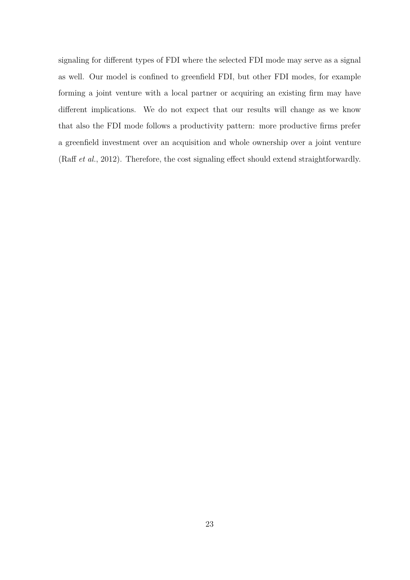signaling for different types of FDI where the selected FDI mode may serve as a signal as well. Our model is confined to greenfield FDI, but other FDI modes, for example forming a joint venture with a local partner or acquiring an existing firm may have different implications. We do not expect that our results will change as we know that also the FDI mode follows a productivity pattern: more productive firms prefer a greenfield investment over an acquisition and whole ownership over a joint venture (Raff *et al.*, 2012). Therefore, the cost signaling effect should extend straightforwardly.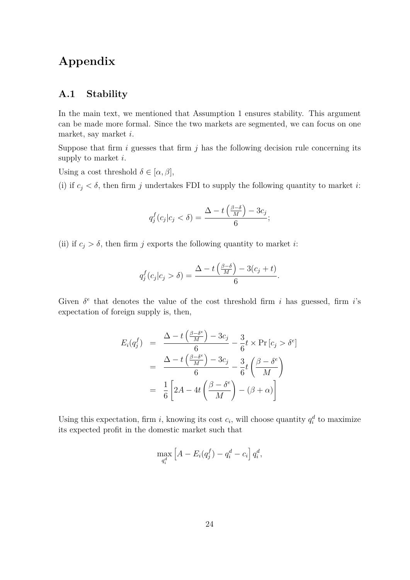## **Appendix**

#### **A.1 Stability**

In the main text, we mentioned that Assumption 1 ensures stability. This argument can be made more formal. Since the two markets are segmented, we can focus on one market, say market *i*.

Suppose that firm *i* guesses that firm *j* has the following decision rule concerning its supply to market *i*.

Using a cost threshold  $\delta \in [\alpha, \beta],$ 

(i) if  $c_j < \delta$ , then firm *j* undertakes FDI to supply the following quantity to market *i*:

$$
q_j^f(c_j|c_j < \delta) = \frac{\Delta - t\left(\frac{\beta - \delta}{M}\right) - 3c_j}{6};
$$

(ii) if  $c_j > \delta$ , then firm *j* exports the following quantity to market *i*:

$$
q_j^f(c_j|c_j > \delta) = \frac{\Delta - t\left(\frac{\beta - \delta}{M}\right) - 3(c_j + t)}{6}.
$$

Given  $\delta^e$  that denotes the value of the cost threshold firm *i* has guessed, firm *i*'s expectation of foreign supply is, then,

$$
E_i(q_j^f) = \frac{\Delta - t\left(\frac{\beta - \delta^e}{M}\right) - 3c_j}{6} - \frac{3}{6}t \times \Pr[c_j > \delta^e]
$$
  
= 
$$
\frac{\Delta - t\left(\frac{\beta - \delta^e}{M}\right) - 3c_j}{6} - \frac{3}{6}t\left(\frac{\beta - \delta^e}{M}\right)
$$
  
= 
$$
\frac{1}{6}\left[2A - 4t\left(\frac{\beta - \delta^e}{M}\right) - (\beta + \alpha)\right]
$$

Using this expectation, firm *i*, knowing its cost  $c_i$ , will choose quantity  $q_i^d$  to maximize its expected profit in the domestic market such that

$$
\max_{q_i^d} \left[ A - E_i(q_j^f) - q_i^d - c_i \right] q_i^d,
$$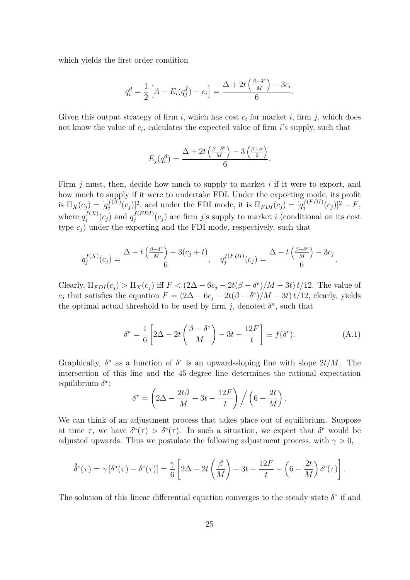which yields the first order condition

$$
q_i^d = \frac{1}{2} \left[ A - E_i(q_j^f) - c_i \right] = \frac{\Delta + 2t \left( \frac{\beta - \delta^e}{M} \right) - 3c_i}{6}.
$$

Given this output strategy of firm  $i$ , which has cost  $c_i$  for market  $i$ , firm  $j$ , which does not know the value of *c<sup>i</sup>* , calculates the expected value of firm *i*'s supply, such that

$$
E_j(q_i^d) = \frac{\Delta + 2t\left(\frac{\beta - \delta^e}{M}\right) - 3\left(\frac{\beta + \alpha}{2}\right)}{6}.
$$

Firm *j* must, then, decide how much to supply to market *i* if it were to export, and how much to supply if it were to undertake FDI. Under the exporting mode, its profit is  $\Pi_X(c_j) = [q_j^{f(X)}]$  $\int_j^{f(X)} (c_j)^2$ , and under the FDI mode, it is  $\Pi_{FDI}(c_j) = [q_j^{f(FDI)}]$  $\int_{j}^{f(FDI)} (c_j)^2 - F,$ where  $q_i^{f(X)}$  $j^{f(X)}(c_j)$  and  $q_j^{f(FDI)}$  $j_j^{(FDI)}(c_j)$  are firm *j*'s supply to market *i* (conditional on its cost type  $c_i$ ) under the exporting and the FDI mode, respectively, such that

$$
q_j^{f(X)}(c_j) = \frac{\Delta - t\left(\frac{\beta - \delta^e}{M}\right) - 3(c_j + t)}{6}, \quad q_j^{f(FDI)}(c_j) = \frac{\Delta - t\left(\frac{\beta - \delta^e}{M}\right) - 3c_j}{6}.
$$

Clearly,  $\Pi_{FDI}(c_j) > \Pi_X(c_j)$  iff  $F < (2\Delta - 6c_j - 2t(\beta - \delta^e)/M - 3t) t/12$ . The value of *c<sub>j</sub>* that satisfies the equation  $F = (2\Delta - 6c_j - 2t(\beta - \delta^e)/M - 3t) t/12$ , clearly, yields the optimal actual threshold to be used by firm  $j$ , denoted  $\delta^a$ , such that

$$
\delta^a = \frac{1}{6} \left[ 2\Delta - 2t \left( \frac{\beta - \delta^e}{M} \right) - 3t - \frac{12F}{t} \right] \equiv f(\delta^e). \tag{A.1}
$$

*.*

Graphically,  $\delta^a$  as a function of  $\delta^e$  is an upward-sloping line with slope  $2t/M$ . The intersection of this line and the 45-degree line determines the rational expectation equilibrium *δ* ∗ :

$$
\delta^* = \left(2\Delta - \frac{2t\beta}{M} - 3t - \frac{12F}{t}\right) / \left(6 - \frac{2t}{M}\right)
$$

We can think of an adjustment process that takes place out of equilibrium. Suppose at time  $\tau$ , we have  $\delta^a(\tau) > \delta^e(\tau)$ . In such a situation, we expect that  $\delta^e$  would be adjusted upwards. Thus we postulate the following adjustment process, with  $\gamma > 0$ ,

$$
\dot{\delta}^e(\tau) = \gamma \left[\delta^a(\tau) - \delta^e(\tau)\right] = \frac{\gamma}{6} \left[2\Delta - 2t\left(\frac{\beta}{M}\right) - 3t - \frac{12F}{t} - \left(6 - \frac{2t}{M}\right)\delta^e(\tau)\right].
$$

The solution of this linear differential equation converges to the steady state  $\delta^*$  if and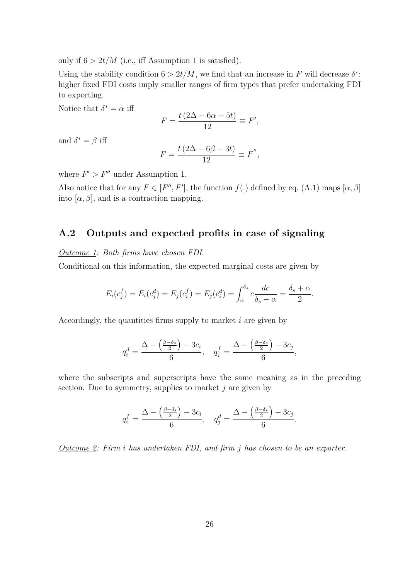only if  $6 > 2t/M$  (i.e., iff Assumption 1 is satisfied).

Using the stability condition  $6 > 2t/M$ , we find that an increase in *F* will decrease  $\delta^*$ : higher fixed FDI costs imply smaller ranges of firm types that prefer undertaking FDI to exporting.

Notice that  $\delta^* = \alpha$  iff

$$
F = \frac{t(2\Delta - 6\alpha - 5t)}{12} \equiv F',
$$

and  $\delta^* = \beta$  iff

$$
F = \frac{t(2\Delta - 6\beta - 3t)}{12} \equiv F'',
$$

where  $F' > F''$  under Assumption 1.

Also notice that for any  $F \in [F'', F']$ , the function  $f(.)$  defined by eq. (A.1) maps  $[\alpha, \beta]$ into  $[\alpha, \beta]$ , and is a contraction mapping.

#### **A.2 Outputs and expected profits in case of signaling**

*Outcome 1: Both firms have chosen FDI*.

Conditional on this information, the expected marginal costs are given by

$$
E_i(c_j^f) = E_i(c_j^d) = E_j(c_i^f) = E_j(c_i^d) = \int_{\alpha}^{\delta_s} c \frac{dc}{\delta_s - \alpha} = \frac{\delta_s + \alpha}{2}.
$$

Accordingly, the quantities firms supply to market *i* are given by

$$
q_i^d = \frac{\Delta - \left(\frac{\beta - \delta_s}{2}\right) - 3c_i}{6}, \quad q_j^f = \frac{\Delta - \left(\frac{\beta - \delta_s}{2}\right) - 3c_j}{6},
$$

where the subscripts and superscripts have the same meaning as in the preceding section. Due to symmetry, supplies to market *j* are given by

$$
q_i^f = \frac{\Delta - \left(\frac{\beta - \delta_s}{2}\right) - 3c_i}{6}, \quad q_j^d = \frac{\Delta - \left(\frac{\beta - \delta_s}{2}\right) - 3c_j}{6}.
$$

*Outcome 2: Firm i has undertaken FDI, and firm j has chosen to be an exporter.*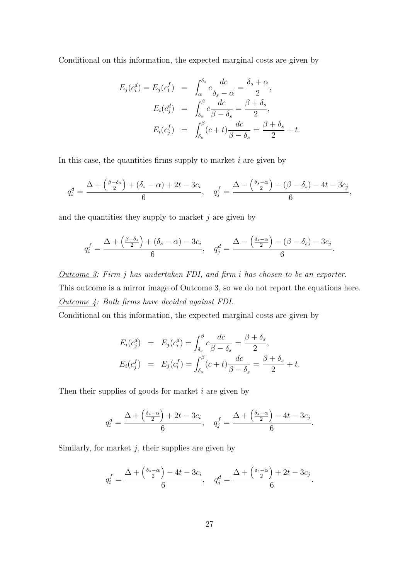Conditional on this information, the expected marginal costs are given by

$$
E_j(c_i^d) = E_j(c_i^f) = \int_{\alpha}^{\delta_s} c \frac{dc}{\delta_s - \alpha} = \frac{\delta_s + \alpha}{2},
$$
  
\n
$$
E_i(c_j^d) = \int_{\delta_s}^{\beta} c \frac{dc}{\beta - \delta_s} = \frac{\beta + \delta_s}{2},
$$
  
\n
$$
E_i(c_j^f) = \int_{\delta_s}^{\beta} (c + t) \frac{dc}{\beta - \delta_s} = \frac{\beta + \delta_s}{2} + t.
$$

In this case, the quantities firms supply to market *i* are given by

$$
q_i^d = \frac{\Delta + \left(\frac{\beta-\delta_s}{2}\right) + (\delta_s-\alpha) + 2t - 3c_i}{6}, \quad q_j^f = \frac{\Delta - \left(\frac{\delta_s-\alpha}{2}\right) - (\beta-\delta_s) - 4t - 3c_j}{6},
$$

and the quantities they supply to market *j* are given by

$$
q_i^f = \frac{\Delta + \left(\frac{\beta - \delta_s}{2}\right) + (\delta_s - \alpha) - 3c_i}{6}, \quad q_j^d = \frac{\Delta - \left(\frac{\delta_s - \alpha}{2}\right) - (\beta - \delta_s) - 3c_j}{6}
$$

*.*

*Outcome 3: Firm j has undertaken FDI, and firm i has chosen to be an exporter.* This outcome is a mirror image of Outcome 3, so we do not report the equations here. *Outcome 4: Both firms have decided against FDI.*

Conditional on this information, the expected marginal costs are given by

$$
E_i(c_j^d) = E_j(c_i^d) = \int_{\delta_s}^{\beta} c \frac{dc}{\beta - \delta_s} = \frac{\beta + \delta_s}{2},
$$
  

$$
E_i(c_j^f) = E_j(c_i^f) = \int_{\delta_s}^{\beta} (c + t) \frac{dc}{\beta - \delta_s} = \frac{\beta + \delta_s}{2} + t.
$$

Then their supplies of goods for market *i* are given by

$$
q_i^d = \frac{\Delta + \left(\frac{\delta_s - \alpha}{2}\right) + 2t - 3c_i}{6}, \quad q_j^f = \frac{\Delta + \left(\frac{\delta_s - \alpha}{2}\right) - 4t - 3c_j}{6}.
$$

Similarly, for market *j*, their supplies are given by

$$
q_i^f = \frac{\Delta + \left(\frac{\delta_s - \alpha}{2}\right) - 4t - 3c_i}{6}, \quad q_j^d = \frac{\Delta + \left(\frac{\delta_s - \alpha}{2}\right) + 2t - 3c_j}{6}.
$$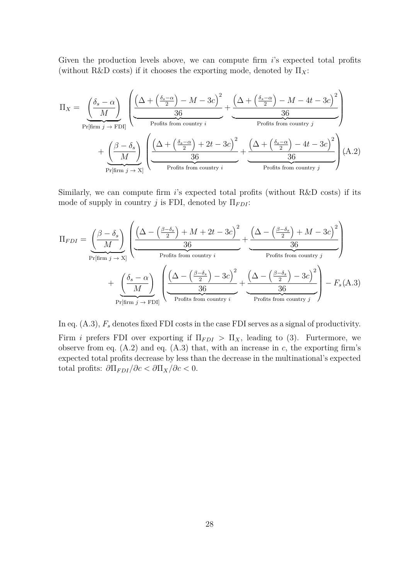Given the production levels above, we can compute firm *i*'s expected total profits (without R&D costs) if it chooses the exporting mode, denoted by  $\Pi_X$ :

$$
\Pi_{X} = \underbrace{\left(\frac{\delta_{s} - \alpha}{M}\right)}_{\text{Pr}[\text{firm } j \to \text{FDI}]} \left(\underbrace{\frac{\left(\Delta + \left(\frac{\delta_{s} - \alpha}{2}\right) - M - 3c\right)^{2}}{36} + \underbrace{\frac{\left(\Delta + \left(\frac{\delta_{s} - \alpha}{2}\right) - M - 4t - 3c\right)^{2}}{36}}{36}}_{\text{Profits from country } i}\right)}_{\text{Pr}( \text{firm } j \to \text{X})} + \underbrace{\left(\frac{\beta - \delta_{s}}{M}\right)}_{\text{Profits from country } i} \left(\underbrace{\frac{\left(\Delta + \left(\frac{\delta_{s} - \alpha}{2}\right) + 2t - 3c\right)^{2}}{36} + \underbrace{\frac{\left(\Delta + \left(\frac{\delta_{s} - \alpha}{2}\right) - 4t - 3c\right)^{2}}{36}}{36}}_{\text{Profits from country } j}\right)}_{\text{Profits from country } j} (A.2)
$$

Similarly, we can compute firm *i*'s expected total profits (without R&D costs) if its mode of supply in country *j* is FDI, denoted by  $\Pi_{FD}$ :

$$
\Pi_{FDI} = \underbrace{\left(\frac{\beta-\delta_s}{M}\right)}_{\text{Pr[firm } j \to X]} \left(\underbrace{\frac{\left(\Delta-\left(\frac{\beta-\delta_s}{2}\right)+M+2t-3c\right)^2}{36}+\underbrace{\frac{\left(\Delta-\left(\frac{\beta-\delta_s}{2}\right)+M-3c\right)^2}{36}}_{\text{Profits from country } i}\right)}_{\text{Prfits from country } i}\right)
$$
\n
$$
+\underbrace{\left(\frac{\delta_s-\alpha}{M}\right)}_{\text{Pr[firm } j \to FDI]} \left(\underbrace{\frac{\left(\Delta-\left(\frac{\beta-\delta_s}{2}\right)-3c\right)^2}{36}+\underbrace{\left(\Delta-\left(\frac{\beta-\delta_s}{2}\right)-3c\right)^2}{36}}_{\text{Profits from country } i}\right)-F_s(A.3)
$$

In eq.  $(A.3)$ ,  $F_s$  denotes fixed FDI costs in the case FDI serves as a signal of productivity. Firm *i* prefers FDI over exporting if  $\Pi_{FDI} > \Pi_X$ , leading to (3). Furtermore, we observe from eq. (A.2) and eq. (A.3) that, with an increase in *c*, the exporting firm's expected total profits decrease by less than the decrease in the multinational's expected total profits:  $\partial \Pi_{FDI}/\partial c < \partial \Pi_X/\partial c < 0$ .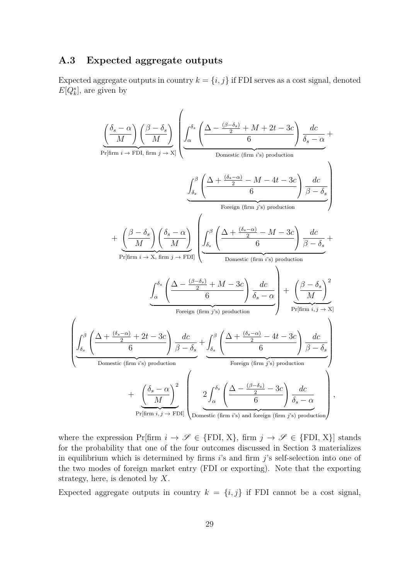#### **A.3 Expected aggregate outputs**

 $\sqrt{ }$ 

 $\overline{\phantom{a}}$ 

Expected aggregate outputs in country  $k = \{i, j\}$  if FDI serves as a cost signal, denoted  $E[Q_k^s]$ , are given by

$$
\frac{\left(\frac{\delta_{s}-\alpha}{M}\right)\left(\frac{\beta-\delta_{s}}{M}\right)}{\Pr[\text{firm } i\rightarrow \text{FDI, firm } j\rightarrow \text{X}]}\left(\frac{\int_{\alpha}^{\delta_{s}}\left(\frac{\Delta-\frac{(\beta-\delta_{s})}{2}+M+2t-3c}{6}\right)\frac{dc}{\delta_{s}-\alpha}}{\text{Domestic (firm } i\text{'s})\text{ production}}\right)
$$
\n
$$
+\frac{\left(\frac{\beta-\delta_{s}}{M}\right)\left(\frac{\delta_{s}-\alpha}{M}\right)\left(\frac{\delta_{s}-\alpha}{M}\right)}{\Pr[\text{firm } i\rightarrow \text{X, firm } j\rightarrow \text{FDI}]} \left(\frac{\int_{\delta_{s}}^{\beta}\left(\frac{\Delta+\frac{(\delta_{s}-\alpha)}{2}-M-4t-3c}{6}\right)\frac{dc}{\beta-\delta_{s}}}{\text{Domestic (firm } i\text{'s})\text{ production}}\right)
$$
\n
$$
+\frac{\left(\frac{\beta-\delta_{s}}{M}\right)\left(\frac{\delta_{s}-\alpha}{M}\right)\left(\frac{\int_{\delta_{s}}^{\beta}\left(\frac{\Delta+\frac{(\delta_{s}-\alpha)}{2}-M-3c}{6}\right)\frac{dc}{\beta-\delta_{s}}}{\text{Domestic (firm } i\text{'s})\text{ production}}\right)}{\text{Foreign (firm } j\text{'s) production}} + \frac{\left(\frac{\beta}{\delta_{s}}-\frac{(\delta_{s}-\alpha)}{2}+2t-3c}{6}\right)\frac{dc}{\beta-\delta_{s}} + \frac{\int_{\delta_{s}}^{\beta}\left(\frac{\Delta+\frac{(\delta_{s}-\alpha)}{2}-4t-3c}{6}\right)\frac{dc}{\beta-\delta_{s}}}{\text{Foreign (firm } j\text{'s) production}}}{\text{Poreign (firm } j\text{'s) production}} + \frac{\left(\frac{\delta_{s}-\alpha}{M}\right)^{2}}{\frac{\delta_{s}-\alpha}{\text{Pr}[\text{firm } i\text{, } j\rightarrow \text{FDI}]}\left(\frac{2\int_{\alpha}^{\delta_{s}}\left(\frac{\Delta-\frac{(\beta-\delta_{s})}{2}-3c}{6}\right)\frac{dc}{\delta_{s}-\alpha}}{\delta_{s}-\alpha}\right),
$$

where the expression Pr[firm  $i \to \mathscr{S} \in \{FDI, X\}$ , firm  $j \to \mathscr{S} \in \{FDI, X\}$ ] stands for the probability that one of the four outcomes discussed in Section 3 materializes in equilibrium which is determined by firms *i*'s and firm *j*'s self-selection into one of the two modes of foreign market entry (FDI or exporting). Note that the exporting strategy, here, is denoted by *X*.

Expected aggregate outputs in country  $k = \{i, j\}$  if FDI cannot be a cost signal,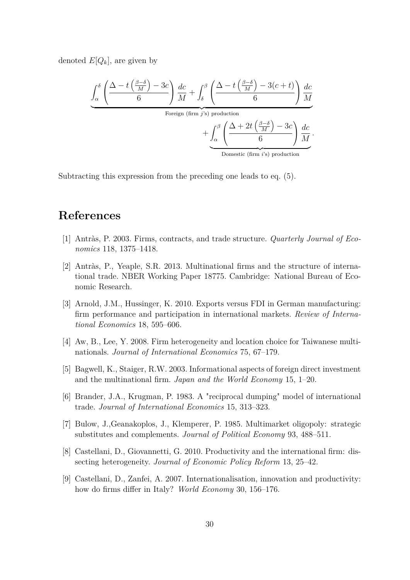denoted  $E[Q_k]$ , are given by

$$
\underbrace{\int_{\alpha}^{\delta} \left( \frac{\Delta - t \left( \frac{\beta - \delta}{M} \right) - 3c}{6} \right) \frac{dc}{M} + \int_{\delta}^{\beta} \left( \frac{\Delta - t \left( \frac{\beta - \delta}{M} \right) - 3(c + t)}{6} \right) \frac{dc}{M}}_{\text{ Foreign (firm } j's) \text{ production}} + \underbrace{\int_{\alpha}^{\beta} \left( \frac{\Delta + 2t \left( \frac{\beta - \delta}{M} \right) - 3c}{6} \right) \frac{dc}{M}}_{\text{Domestic (firm } i's) \text{ production}}.
$$

Subtracting this expression from the preceding one leads to eq. (5).

## **References**

- [1] Antràs, P. 2003. Firms, contracts, and trade structure. *Quarterly Journal of Economics* 118, 1375–1418.
- [2] Antràs, P., Yeaple, S.R. 2013. Multinational firms and the structure of international trade. NBER Working Paper 18775. Cambridge: National Bureau of Economic Research.
- [3] Arnold, J.M., Hussinger, K. 2010. Exports versus FDI in German manufacturing: firm performance and participation in international markets. *Review of International Economics* 18, 595–606.
- [4] Aw, B., Lee, Y. 2008. Firm heterogeneity and location choice for Taiwanese multinationals. *Journal of International Economics* 75, 67–179.
- [5] Bagwell, K., Staiger, R.W. 2003. Informational aspects of foreign direct investment and the multinational firm. *Japan and the World Economy* 15, 1–20.
- [6] Brander, J.A., Krugman, P. 1983. A "reciprocal dumping" model of international trade. *Journal of International Economics* 15, 313–323.
- [7] Bulow, J.,Geanakoplos, J., Klemperer, P. 1985. Multimarket oligopoly: strategic substitutes and complements. *Journal of Political Economy* 93, 488–511.
- [8] Castellani, D., Giovannetti, G. 2010. Productivity and the international firm: dissecting heterogeneity. *Journal of Economic Policy Reform* 13, 25–42.
- [9] Castellani, D., Zanfei, A. 2007. Internationalisation, innovation and productivity: how do firms differ in Italy? *World Economy* 30, 156–176.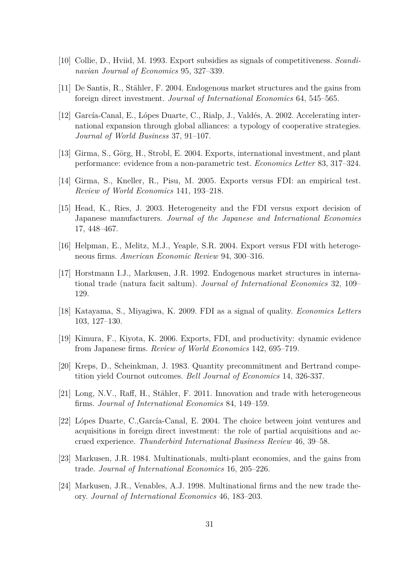- [10] Collie, D., Hviid, M. 1993. Export subsidies as signals of competitiveness. *Scandinavian Journal of Economics* 95, 327–339.
- [11] De Santis, R., Stähler, F. 2004. Endogenous market structures and the gains from foreign direct investment. *Journal of International Economics* 64, 545–565.
- [12] García-Canal, E., Lópes Duarte, C., Rialp, J., Valdés, A. 2002. Accelerating international expansion through global alliances: a typology of cooperative strategies. *Journal of World Business* 37, 91–107.
- [13] Girma, S., Görg, H., Strobl, E. 2004. Exports, international investment, and plant performance: evidence from a non-parametric test. *Economics Letter* 83, 317–324.
- [14] Girma, S., Kneller, R., Pisu, M. 2005. Exports versus FDI: an empirical test. *Review of World Economics* 141, 193–218.
- [15] Head, K., Ries, J. 2003. Heterogeneity and the FDI versus export decision of Japanese manufacturers. *Journal of the Japanese and International Economies* 17, 448–467.
- [16] Helpman, E., Melitz, M.J., Yeaple, S.R. 2004. Export versus FDI with heterogeneous firms. *American Economic Review* 94, 300–316.
- [17] Horstmann I.J., Markusen, J.R. 1992. Endogenous market structures in international trade (natura facit saltum). *Journal of International Economics* 32, 109– 129.
- [18] Katayama, S., Miyagiwa, K. 2009. FDI as a signal of quality. *Economics Letters* 103, 127–130.
- [19] Kimura, F., Kiyota, K. 2006. Exports, FDI, and productivity: dynamic evidence from Japanese firms. *Review of World Economics* 142, 695–719.
- [20] Kreps, D., Scheinkman, J. 1983. Quantity precommitment and Bertrand competition yield Cournot outcomes. *Bell Journal of Economics* 14, 326-337.
- [21] Long, N.V., Raff, H., Stähler, F. 2011. Innovation and trade with heterogeneous firms. *Journal of International Economics* 84, 149–159.
- [22] Lópes Duarte, C.,García-Canal, E. 2004. The choice between joint ventures and acquisitions in foreign direct investment: the role of partial acquisitions and accrued experience. *Thunderbird International Business Review* 46, 39–58.
- [23] Markusen, J.R. 1984. Multinationals, multi-plant economies, and the gains from trade. *Journal of International Economics* 16, 205–226.
- [24] Markusen, J.R., Venables, A.J. 1998. Multinational firms and the new trade theory. *Journal of International Economics* 46, 183–203.